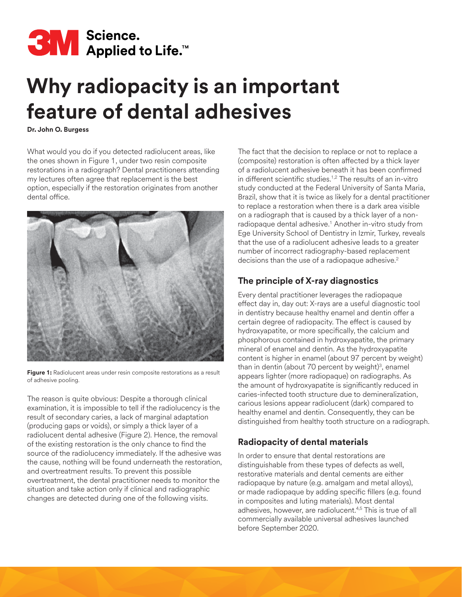

# **Why radiopacity is an important feature of dental adhesives**

**Dr. John O. Burgess**

What would you do if you detected radiolucent areas, like the ones shown in Figure 1, under two resin composite restorations in a radiograph? Dental practitioners attending my lectures often agree that replacement is the best option, especially if the restoration originates from another dental office.



Figure 1: Radiolucent areas under resin composite restorations as a result of adhesive pooling.

The reason is quite obvious: Despite a thorough clinical examination, it is impossible to tell if the radiolucency is the result of secondary caries, a lack of marginal adaptation (producing gaps or voids), or simply a thick layer of a radiolucent dental adhesive (Figure 2). Hence, the removal of the existing restoration is the only chance to find the source of the radiolucency immediately. If the adhesive was the cause, nothing will be found underneath the restoration, and overtreatment results. To prevent this possible overtreatment, the dental practitioner needs to monitor the situation and take action only if clinical and radiographic changes are detected during one of the following visits.

The fact that the decision to replace or not to replace a (composite) restoration is often affected by a thick layer of a radiolucent adhesive beneath it has been confirmed in different scientific studies.<sup>1,2</sup> The results of an in-vitro study conducted at the Federal University of Santa Maria, Brazil, show that it is twice as likely for a dental practitioner to replace a restoration when there is a dark area visible on a radiograph that is caused by a thick layer of a nonradiopaque dental adhesive.1 Another in-vitro study from Ege University School of Dentistry in Izmir, Turkey, reveals that the use of a radiolucent adhesive leads to a greater number of incorrect radiography-based replacement decisions than the use of a radiopaque adhesive.<sup>2</sup>

## **The principle of X-ray diagnostics**

Every dental practitioner leverages the radiopaque effect day in, day out: X-rays are a useful diagnostic tool in dentistry because healthy enamel and dentin offer a certain degree of radiopacity. The effect is caused by hydroxyapatite, or more specifically, the calcium and phosphorous contained in hydroxyapatite, the primary mineral of enamel and dentin. As the hydroxyapatite content is higher in enamel (about 97 percent by weight) than in dentin (about 70 percent by weight) $3$ , enamel appears lighter (more radiopaque) on radiographs. As the amount of hydroxyapatite is significantly reduced in caries-infected tooth structure due to demineralization, carious lesions appear radiolucent (dark) compared to healthy enamel and dentin. Consequently, they can be distinguished from healthy tooth structure on a radiograph.

## **Radiopacity of dental materials**

In order to ensure that dental restorations are distinguishable from these types of defects as well, restorative materials and dental cements are either radiopaque by nature (e.g. amalgam and metal alloys), or made radiopaque by adding specific fillers (e.g. found in composites and luting materials). Most dental adhesives, however, are radiolucent.4,5 This is true of all commercially available universal adhesives launched before September 2020.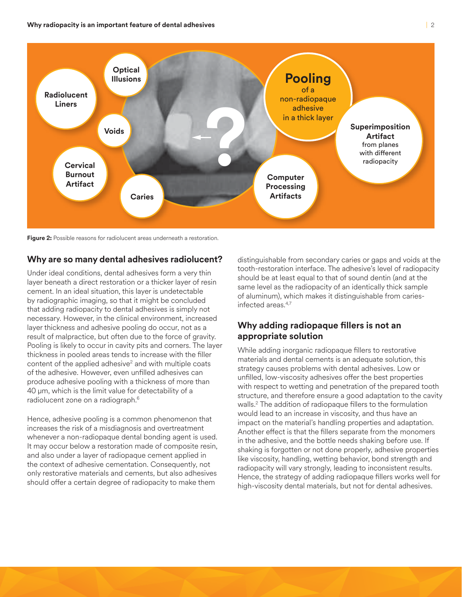

**Figure 2:** Possible reasons for radiolucent areas underneath a restoration.

### **Why are so many dental adhesives radiolucent?**

Under ideal conditions, dental adhesives form a very thin layer beneath a direct restoration or a thicker layer of resin cement. In an ideal situation, this layer is undetectable by radiographic imaging, so that it might be concluded that adding radiopacity to dental adhesives is simply not necessary. However, in the clinical environment, increased layer thickness and adhesive pooling do occur, not as a result of malpractice, but often due to the force of gravity. Pooling is likely to occur in cavity pits and corners. The layer thickness in pooled areas tends to increase with the filler content of the applied adhesive<sup>2</sup> and with multiple coats of the adhesive. However, even unfilled adhesives can produce adhesive pooling with a thickness of more than 40 µm, which is the limit value for detectability of a radiolucent zone on a radiograph.<sup>6</sup>

Hence, adhesive pooling is a common phenomenon that increases the risk of a misdiagnosis and overtreatment whenever a non-radiopaque dental bonding agent is used. It may occur below a restoration made of composite resin, and also under a layer of radiopaque cement applied in the context of adhesive cementation. Consequently, not only restorative materials and cements, but also adhesives should offer a certain degree of radiopacity to make them

distinguishable from secondary caries or gaps and voids at the tooth-restoration interface. The adhesive's level of radiopacity should be at least equal to that of sound dentin (and at the same level as the radiopacity of an identically thick sample of aluminum), which makes it distinguishable from cariesinfected areas.4,7

## **Why adding radiopaque fillers is not an appropriate solution**

While adding inorganic radiopaque fillers to restorative materials and dental cements is an adequate solution, this strategy causes problems with dental adhesives. Low or unfilled, low-viscosity adhesives offer the best properties with respect to wetting and penetration of the prepared tooth structure, and therefore ensure a good adaptation to the cavity walls.2 The addition of radiopaque fillers to the formulation would lead to an increase in viscosity, and thus have an impact on the material's handling properties and adaptation. Another effect is that the fillers separate from the monomers in the adhesive, and the bottle needs shaking before use. If shaking is forgotten or not done properly, adhesive properties like viscosity, handling, wetting behavior, bond strength and radiopacity will vary strongly, leading to inconsistent results. Hence, the strategy of adding radiopaque fillers works well for high-viscosity dental materials, but not for dental adhesives.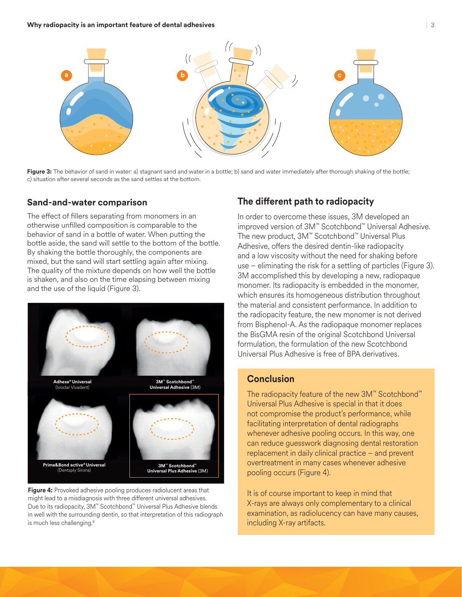

**Figure 3:** The behavior of sand in water: a) stagnant sand and water in a bottle; b) sand and water immediately after thorough shaking of the bottle; c) situation after several seconds as the sand settles at the bottom.

#### **Sand-and-water comparison**

The effect of fillers separating from monomers in an otherwise unfilled composition is comparable to the behavior of sand in a bottle of water. When putting the bottle aside, the sand will settle to the bottom of the bottle. By shaking the bottle thoroughly, the components are mixed, but the sand will start settling again after mixing. The quality of the mixture depends on how well the bottle is shaken, and also on the time elapsing between mixing and the use of the liquid (Figure 3).



Figure 4: Provoked adhesive pooling produces radiolucent areas that might lead to a misdiagnosis with three different universal adhesives. Due to its radiopacity, 3M™ Scotchbond™ Universal Plus Adhesive blends in well with the surrounding dentin, so that interpretation of this radiograph is much less challenging.<sup>8</sup>

## **The different path to radiopacity**

In order to overcome these issues, 3M developed an improved version of 3M™ Scotchbond™ Universal Adhesive. The new product, 3M™ Scotchbond™ Universal Plus Adhesive, offers the desired dentin-like radiopacity and a low viscosity without the need for shaking before use – eliminating the risk for a settling of particles (Figure 3). 3M accomplished this by developing a new, radiopaque monomer. Its radiopacity is embedded in the monomer, which ensures its homogeneous distribution throughout the material and consistent performance. In addition to the radiopacity feature, the new monomer is not derived from Bisphenol-A. As the radiopaque monomer replaces the BisGMA resin of the original Scotchbond Universal formulation, the formulation of the new Scotchbond Universal Plus Adhesive is free of BPA derivatives.

## **Conclusion**

The radiopacity feature of the new 3M™ Scotchbond™ Universal Plus Adhesive is special in that it does not compromise the product's performance, while facilitating interpretation of dental radiographs whenever adhesive pooling occurs. In this way, one can reduce guesswork diagnosing dental restoration replacement in daily clinical practice – and prevent overtreatment in many cases whenever adhesive pooling occurs (Figure 4).

It is of course important to keep in mind that X-rays are always only complementary to a clinical examination, as radiolucency can have many causes, including X-ray artifacts.